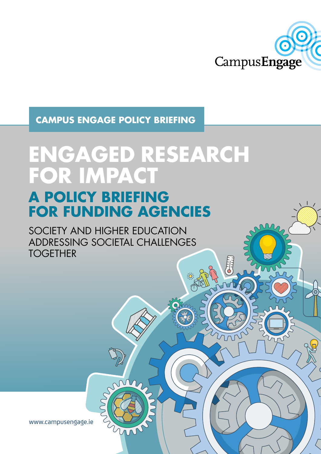

# **CAMPUS ENGAGE POLICY BRIEFING**

# **ENGAGED RESEARCH FOR IMPACT A POLICY BRIEFING**

# **FOR FUNDING AGENCIES**

SOCIETY AND HIGHER EDUCATION ADDRESSING SOCIETAL CHALLENGES **TOGETHER** 

www.campusengage.ie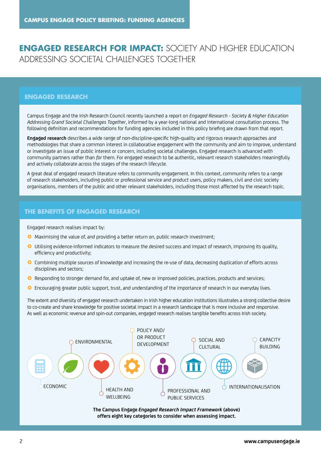# **ENGAGED RESEARCH FOR IMPACT:** SOCIETY AND HIGHER EDUCATION ADDRESSING SOCIETAL CHALLENGES TOGETHER

### **ENGAGED RESEARCH**

Campus Engage and the Irish Research Council recently launched a report on *Engaged Research - Society & Higher Education Addressing Grand Societal Challenges Together*, informed by a year-long national and international consultation process. The following definition and recommendations for funding agencies included in this policy briefing are drawn from that report.

**Engaged research** describes a wide range of non-discipline-specific high-quality and rigorous research approaches and methodologies that share a common interest in collaborative engagement with the community and aim to improve, understand or investigate an issue of public interest or concern, including societal challenges. Engaged research is advanced *with* community partners rather than *for* them. For engaged research to be authentic, relevant research stakeholders meaningfully and actively collaborate across the stages of the research lifecycle.

A great deal of engaged research literature refers to community engagement. In this context, community refers to a range of research stakeholders, including public or professional service and product users, policy makers, civil and civic society organisations, members of the public and other relevant stakeholders, including those most affected by the research topic.

#### **THE BENEFITS OF ENGAGED RESEARCH**

Engaged research realises impact by:

- **O** Maximising the value of, and providing a better return on, public research investment;
- **O** Utilising evidence-informed indicators to measure the desired success and impact of research, improving its quality, efficiency and productivity;
- **O** Combining multiple sources of knowledge and increasing the re-use of data, decreasing duplication of efforts across disciplines and sectors;
- **O** Responding to stronger demand for, and uptake of, new or improved policies, practices, products and services;
- **O** Encouraging greater public support, trust, and understanding of the importance of research in our everyday lives.

The extent and diversity of engaged research undertaken in Irish higher education institutions illustrates a strong collective desire to co-create and share knowledge for positive societal impact in a research landscape that is more inclusive and responsive. As well as economic revenue and spin-out companies, engaged research realises tangible benefits across Irish society.



**The Campus Engage** *Engaged Research Impact Framework* **(above) offers eight key categories to consider when assessing impact.**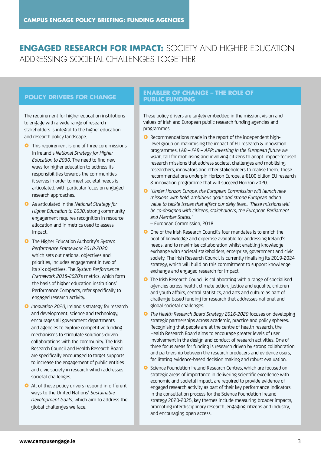# **ENGAGED RESEARCH FOR IMPACT:** SOCIETY AND HIGHER EDUCATION ADDRESSING SOCIETAL CHALLENGES TOGETHER

The requirement for higher education institutions to engage with a wide range of research stakeholders is integral to the higher education and research policy landscape.

- **O** This requirement is one of three core missions in Ireland's *National Strategy for Higher Education to 2030*. The need to find new ways for higher education to address its responsibilities towards the communities it serves in order to meet societal needs is articulated, with particular focus on engaged research approaches.
- £ As articulated in the *National Strategy for Higher Education to 2030*, strong community engagement requires recognition in resource allocation and in metrics used to assess impact.
- **O** The Higher Education Authority's System *Performance Framework 2018-2020*, which sets out national objectives and priorities, includes engagement in two of its six objectives. The *System Performance Framework 2018-2020's* metrics, which form the basis of higher education institutions' Performance Compacts, refer specifically to engaged research activity.
- **O** Innovation 2020, Ireland's strategy for research and development, science and technology, encourages all government departments and agencies to explore competitive funding mechanisms to stimulate solutions-driven collaborations with the community. The Irish Research Council and Health Research Board are specifically encouraged to target supports to increase the engagement of public entities and civic society in research which addresses societal challenges.
- **•** All of these policy drivers respond in different ways to the United Nations' *Sustainable Development Goals*, which aim to address the global challenges we face.

### **POLICY DRIVERS FOR CHANGE PUBLIC FUNDING**

These policy drivers are largely embedded in the mission, vision and values of Irish and European public research funding agencies and programmes.

- **•** Recommendations made in the report of the independent highlevel group on maximising the impact of EU research & innovation programmes, *LAB – FAB – APP: Investing in the European future we want*, call for mobilising and involving citizens to adopt impact-focused research missions that address societal challenges and mobilising researchers, innovators and other stakeholders to realise them. These recommendations underpin Horizon Europe, a €100 billion EU research & innovation programme that will succeed Horizon 2020.
- £ *"Under Horizon Europe, the European Commission will launch new missions with bold, ambitious goals and strong European added value to tackle issues that affect our daily lives… These missions will be co-designed with citizens, stakeholders, the European Parliament and Member States."*
	- European Commission, 2018
- **O** One of the Irish Research Council's four mandates is to enrich the pool of knowledge and expertise available for addressing Ireland's needs, and to maximise collaboration whilst enabling knowledge exchange with societal stakeholders, enterprise, government and civic society. The Irish Research Council is currently finalising its 2019-2024 strategy, which will build on this commitment to support knowledge exchange and engaged research for impact.
- **O** The Irish Research Council is collaborating with a range of specialised agencies across health, climate action, justice and equality, children and youth affairs, central statistics, and arts and culture as part of challenge-based funding for research that addresses national and global societal challenges.
- £ *The Health Research Board Strategy 2016-2020* focuses on developing strategic partnerships across academic, practice and policy spheres. Recognising that people are at the centre of health research, the Health Research Board aims to encourage greater levels of user involvement in the design and conduct of research activities. One of three focus areas for funding is research driven by strong collaboration and partnership between the research producers and evidence users, facilitating evidence-based decision making and robust evaluation.
- **O** Science Foundation Ireland Research Centres, which are focused on strategic areas of importance in delivering scientific excellence with economic and societal impact, are required to provide evidence of engaged research activity as part of their key performance indicators. In the consultation process for the Science Foundation Ireland strategy 2020-2025, key themes include measuring broader impacts, promoting interdisciplinary research, engaging citizens and industry, and encouraging open access.